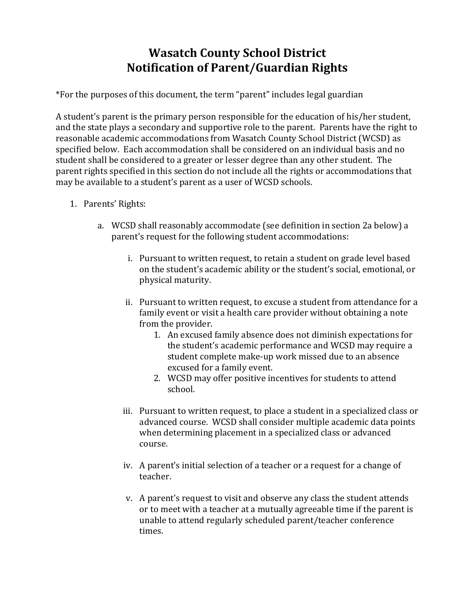## **Wasatch County School District Notification of Parent/Guardian Rights**

\*For the purposes of this document, the term "parent" includes legal guardian

A student's parent is the primary person responsible for the education of his/her student. and the state plays a secondary and supportive role to the parent. Parents have the right to reasonable academic accommodations from Wasatch County School District (WCSD) as specified below. Each accommodation shall be considered on an individual basis and no student shall be considered to a greater or lesser degree than any other student. The parent rights specified in this section do not include all the rights or accommodations that may be available to a student's parent as a user of WCSD schools.

- 1. Parents' Rights:
	- a. WCSD shall reasonably accommodate (see definition in section 2a below) a parent's request for the following student accommodations:
		- i. Pursuant to written request, to retain a student on grade level based on the student's academic ability or the student's social, emotional, or physical maturity.
		- ii. Pursuant to written request, to excuse a student from attendance for a family event or visit a health care provider without obtaining a note from the provider.
			- 1. An excused family absence does not diminish expectations for the student's academic performance and WCSD may require a student complete make-up work missed due to an absence excused for a family event.
			- 2. WCSD may offer positive incentives for students to attend school.
		- iii. Pursuant to written request, to place a student in a specialized class or advanced course. WCSD shall consider multiple academic data points when determining placement in a specialized class or advanced course.
		- iv. A parent's initial selection of a teacher or a request for a change of teacher.
		- v. A parent's request to visit and observe any class the student attends or to meet with a teacher at a mutually agreeable time if the parent is unable to attend regularly scheduled parent/teacher conference times.